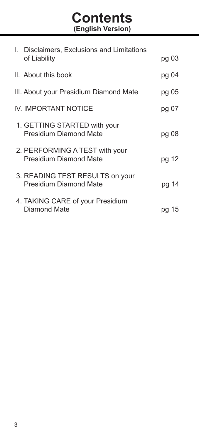# **Contents (English Version)**

| I. Disclaimers, Exclusions and Limitations                |          |
|-----------------------------------------------------------|----------|
| of Liability                                              | pg 03    |
| II. About this book                                       | pg 04    |
| III. About your Presidium Diamond Mate                    | pg 05    |
| IV. IMPORTANT NOTICE                                      | pg 07    |
| 1. GETTING STARTED with your<br>Presidium Diamond Mate    | pg 08    |
| 2. PERFORMING A TEST with your<br>Presidium Diamond Mate  | pg 12    |
| 3. READING TEST RESULTS on your<br>Presidium Diamond Mate | pg 14    |
| 4. TAKING CARE of your Presidium<br>Diamond Mate          | 15<br>pq |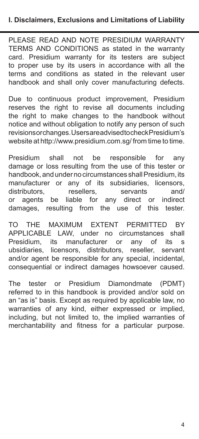PLEASE READ AND NOTE PRESIDIUM WARRANTY TERMS AND CONDITIONS as stated in the warranty card. Presidium warranty for its testers are subject to proper use by its users in accordance with all the terms and conditions as stated in the relevant user handbook and shall only cover manufacturing defects.

Due to continuous product improvement, Presidium reserves the right to revise all documents including the right to make changes to the handbook without notice and without obligation to notify any person of such revisions or changes. Users are advised to check Presidium's website at http://www.presidium.com.sg/ from time to time.

Presidium shall not be responsible for any damage or loss resulting from the use of this tester or handbook, and under no circumstances shall Presidium, its manufacturer or any of its subsidiaries, licensors,<br>distributors, resellers, servants and/ distributors,<br>or agents be liable for any direct or indirect damages, resulting from the use of this tester.

TO THE MAXIMUM EXTENT PERMITTED BY APPLICABLE LAW, under no circumstances shall Presidium, its manufacturer or any of its s<br>ubsidiaries licensors distributors reseller servant licensors, distributors, reseller, servant and/or agent be responsible for any special, incidental, consequential or indirect damages howsoever caused.

The tester or Presidium Diamondmate (PDMT) referred to in this handbook is provided and/or sold on an "as is" basis. Except as required by applicable law, no warranties of any kind, either expressed or implied, including, but not limited to, the implied warranties of merchantability and fitness for a particular purpose.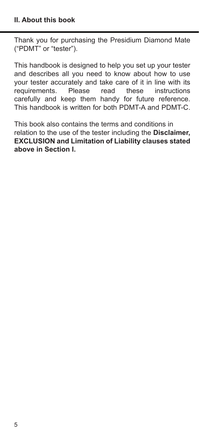Thank you for purchasing the Presidium Diamond Mate ("PDMT" or "tester").

This handbook is designed to help you set up your tester and describes all you need to know about how to use your tester accurately and take care of it in line with its<br>requirements. Please read these instructions requirements. Please read these instructions carefully and keep them handy for future reference. This handbook is written for both PDMT-A and PDMT-C.

This book also contains the terms and conditions in relation to the use of the tester including the **Disclaimer, EXCLUSION and Limitation of Liability clauses stated above in Section I.**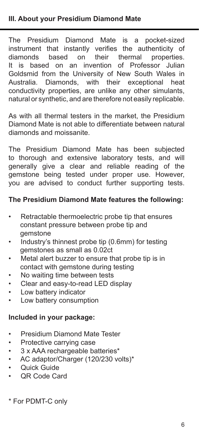The Presidium Diamond Mate is a pocket-sized instrument that instantly verifies the authenticity of diamonds based on their thermal properties. It is based on an invention of Professor Julian Goldsmid from the University of New South Wales in Australia. Diamonds, with their exceptional heat conductivity properties, are unlike any other simulants, natural or synthetic, and are therefore not easily replicable.

As with all thermal testers in the market, the Presidium Diamond Mate is not able to differentiate between natural diamonds and moissanite.

The Presidium Diamond Mate has been subjected to thorough and extensive laboratory tests, and will generally give a clear and reliable reading of the gemstone being tested under proper use. However, you are advised to conduct further supporting tests.

# **The Presidium Diamond Mate features the following:**

- Retractable thermoelectric probe tip that ensures constant pressure between probe tip and gemstone
- Industry's thinnest probe tip (0.6mm) for testing gemstones as small as 0.02ct
- Metal alert buzzer to ensure that probe tip is in contact with gemstone during testing
- No waiting time between tests
- Clear and easy-to-read LED display
- Low battery indicator
- Low battery consumption

# **Included in your package:**

- Presidium Diamond Mate Tester
- Protective carrying case
- 3 x AAA rechargeable batteries\*
- AC adaptor/Charger (120/230 volts)\*
- Quick Guide
- QR Code Card

\* For PDMT-C only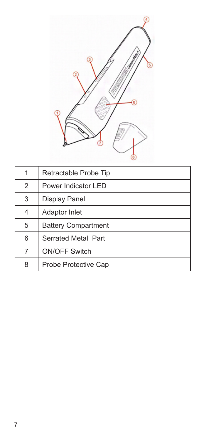

| 1              | Retractable Probe Tip      |
|----------------|----------------------------|
| $\overline{2}$ | Power Indicator LED        |
| 3              | <b>Display Panel</b>       |
| 4              | Adaptor Inlet              |
| 5              | <b>Battery Compartment</b> |
| 6              | Serrated Metal Part        |
| 7              | <b>ON/OFF Switch</b>       |
| 8              | Probe Protective Cap       |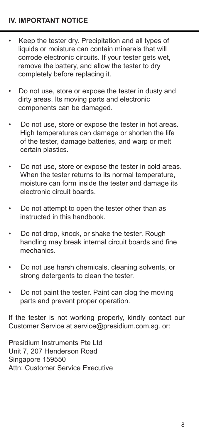- Keep the tester dry. Precipitation and all types of liquids or moisture can contain minerals that will corrode electronic circuits. If your tester gets wet, remove the battery, and allow the tester to dry completely before replacing it.
- Do not use, store or expose the tester in dusty and dirty areas. Its moving parts and electronic components can be damaged.
- Do not use, store or expose the tester in hot areas. High temperatures can damage or shorten the life of the tester, damage batteries, and warp or melt certain plastics.
- Do not use, store or expose the tester in cold areas. When the tester returns to its normal temperature, moisture can form inside the tester and damage its electronic circuit boards.
- Do not attempt to open the tester other than as instructed in this handbook.
- Do not drop, knock, or shake the tester. Rough handling may break internal circuit boards and fine mechanics.
- Do not use harsh chemicals, cleaning solvents, or strong detergents to clean the tester.
- Do not paint the tester. Paint can clog the moving parts and prevent proper operation.

If the tester is not working properly, kindly contact our Customer Service at service@presidium.com.sg. or:

Presidium Instruments Pte Ltd Unit 7, 207 Henderson Road Singapore 159550 Attn: Customer Service Executive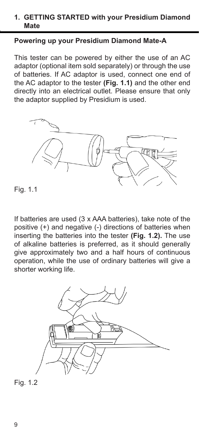#### **1. GETTING STARTED with your Presidium Diamond Mate**

#### **Powering up your Presidium Diamond Mate-A**

This tester can be powered by either the use of an AC adaptor (optional item sold separately) or through the use of batteries. If AC adaptor is used, connect one end of the AC adaptor to the tester **(Fig. 1.1)** and the other end directly into an electrical outlet. Please ensure that only the adaptor supplied by Presidium is used.



Fig. 1.1

If batteries are used (3 x AAA batteries), take note of the positive (+) and negative (-) directions of batteries when inserting the batteries into the tester **(Fig. 1.2).** The use of alkaline batteries is preferred, as it should generally give approximately two and a half hours of continuous operation, while the use of ordinary batteries will give a shorter working life.



Fig. 1.2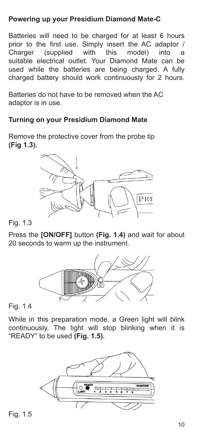# **Powering up your Presidium Diamond Mate-C**

Batteries will need to be charged for at least 6 hours prior to the first use. Simply insert the AC adaptor /<br>Charger (supplied with this model) into a Charger (supplied with this model) into suitable electrical outlet. Your Diamond Mate can be used while the batteries are being charged. A fully charged battery should work continuously for 2 hours.

Batteries do not have to be removed when the AC adaptor is in use.

# **Turning on your Presidium Diamond Mate**

Remove the protective cover from the probe tip **(Fig 1.3).**



Fig. 1.3

Press the **[ON/OFF]** button **(Fig. 1.4)** and wait for about 20 seconds to warm up the instrument.



Fig. 1.4

While in this preparation mode, a Green light will blink continuously. The light will stop blinking when it is "READY" to be used **(Fig. 1.5).**



Fig. 1.5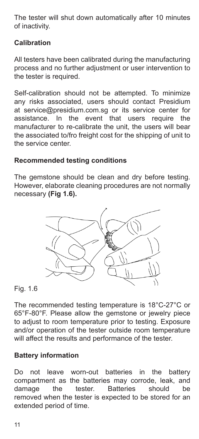The tester will shut down automatically after 10 minutes of inactivity.

# **Calibration**

All testers have been calibrated during the manufacturing process and no further adjustment or user intervention to the tester is required.

Self-calibration should not be attempted. To minimize any risks associated, users should contact Presidium at service@presidium.com.sg or its service center for In the event that users require the manufacturer to re-calibrate the unit, the users will bear the associated to/fro freight cost for the shipping of unit to the service center.

# **Recommended testing conditions**

The gemstone should be clean and dry before testing. However, elaborate cleaning procedures are not normally necessary **(Fig 1.6).**



Fig. 1.6

The recommended testing temperature is 18°C-27°C or 65°F-80°F. Please allow the gemstone or jewelry piece to adjust to room temperature prior to testing. Exposure and/or operation of the tester outside room temperature will affect the results and performance of the tester.

# **Battery information**

Do not leave worn-out batteries in the battery compartment as the batteries may corrode, leak, and damage the tester. Batteries should be removed when the tester is expected to be stored for an extended period of time.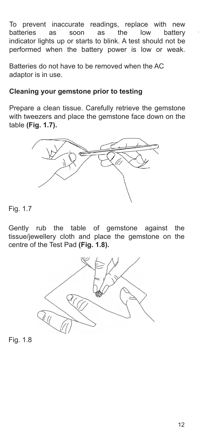To prevent inaccurate readings, replace with new<br>batteries as soon as the low battery batteries as soon as the low battery indicator lights up or starts to blink. A test should not be performed when the battery power is low or weak.

Batteries do not have to be removed when the AC adaptor is in use.

# **Cleaning your gemstone prior to testing**

Prepare a clean tissue. Carefully retrieve the gemstone with tweezers and place the gemstone face down on the table **(Fig. 1.7).** 



Fig. 1.7

Gently rub the table of gemstone against the tissue/jewellery cloth and place the gemstone on the centre of the Test Pad **(Fig. 1.8).** 



Fig. 1.8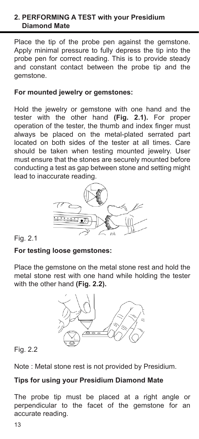# **2. PERFORMING A TEST with your Presidium Diamond Mate**

Place the tip of the probe pen against the gemstone. Apply minimal pressure to fully depress the tip into the probe pen for correct reading. This is to provide steady and constant contact between the probe tip and the gemstone.

#### **For mounted jewelry or gemstones:**

Hold the jewelry or gemstone with one hand and the tester with the other hand **(Fig. 2.1).** For proper operation of the tester, the thumb and index finger must always be placed on the metal-plated serrated part located on both sides of the tester at all times. Care should be taken when testing mounted jewelry. User must ensure that the stones are securely mounted before conducting a test as gap between stone and setting might lead to inaccurate reading.



Fig. 2.1

# **For testing loose gemstones:**

Place the gemstone on the metal stone rest and hold the metal stone rest with one hand while holding the tester with the other hand **(Fig. 2.2).**



Fig. 2.2

Note : Metal stone rest is not provided by Presidium.

# **Tips for using your Presidium Diamond Mate**

The probe tip must be placed at a right angle or perpendicular to the facet of the gemstone for an accurate reading.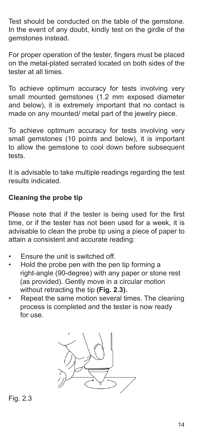Test should be conducted on the table of the gemstone. In the event of any doubt, kindly test on the girdle of the gemstones instead.

For proper operation of the tester, fingers must be placed on the metal-plated serrated located on both sides of the tester at all times.

To achieve optimum accuracy for tests involving very small mounted gemstones (1.2 mm exposed diameter and below), it is extremely important that no contact is made on any mounted/ metal part of the jewelry piece.

To achieve optimum accuracy for tests involving very small gemstones (10 points and below), it is important to allow the gemstone to cool down before subsequent tests.

It is advisable to take multiple readings regarding the test results indicated.

# **Cleaning the probe tip**

Please note that if the tester is being used for the first time, or if the tester has not been used for a week, it is advisable to clean the probe tip using a piece of paper to attain a consistent and accurate reading:

- Ensure the unit is switched off.
- Hold the probe pen with the pen tip forming a right-angle (90-degree) with any paper or stone rest (as provided). Gently move in a circular motion without retracting the tip **(Fig. 2.3).**
- Repeat the same motion several times. The cleaning process is completed and the tester is now ready for use.



Fig. 2.3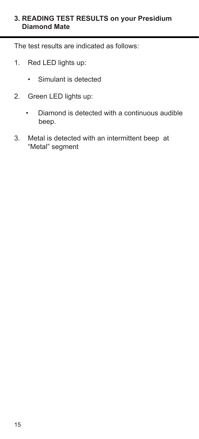## **3. READING TEST RESULTS on your Presidium Diamond Mate**

The test results are indicated as follows:

- 1. Red LED lights up:
	- Simulant is detected
- 2. Green LED lights up:
	- Diamond is detected with a continuous audible beep.
- 3. Metal is detected with an intermittent beep at "Metal" segment